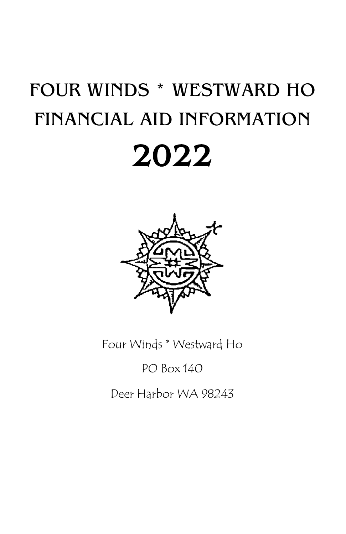## FOUR WINDS \* WESTWARD HO FINANCIAL AID INFORMATION 2022



Four Winds \* Westward Ho

## PO Box 140

Deer Harbor WA 98243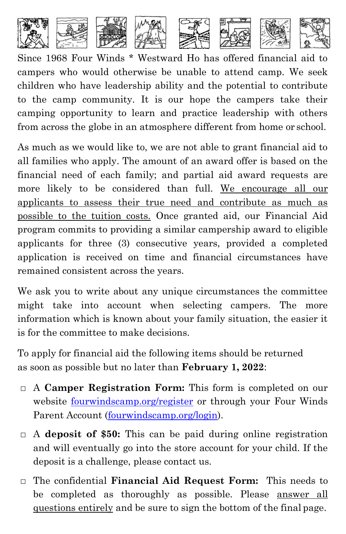

Since 1968 Four Winds \* Westward Ho has offered financial aid to campers who would otherwise be unable to attend camp. We seek children who have leadership ability and the potential to contribute to the camp community. It is our hope the campers take their camping opportunity to learn and practice leadership with others from across the globe in an atmosphere different from home or school.

As much as we would like to, we are not able to grant financial aid to all families who apply. The amount of an award offer is based on the financial need of each family; and partial aid award requests are more likely to be considered than full. We encourage all our applicants to assess their true need and contribute as much as possible to the tuition costs. Once granted aid, our Financial Aid program commits to providing a similar campership award to eligible applicants for three (3) consecutive years, provided a completed application is received on time and financial circumstances have remained consistent across the years.

We ask you to write about any unique circumstances the committee might take into account when selecting campers. The more information which is known about your family situation, the easier it is for the committee to make decisions.

To apply for financial aid the following items should be returned as soon as possible but no later than **February 1, 2022**:

- **□** A **Camper Registration Form:** This form is completed on our website fourwindscamp.org/register or through your Four Winds Parent Account (fourwindscamp.org/login).
- **□** A **deposit of \$50:** This can be paid during online registration and will eventually go into the store account for your child. If the deposit is a challenge, please contact us.
- **□** The confidential **Financial Aid Request Form:** This needs to be completed as thoroughly as possible. Please answer all questions entirely and be sure to sign the bottom of the final page.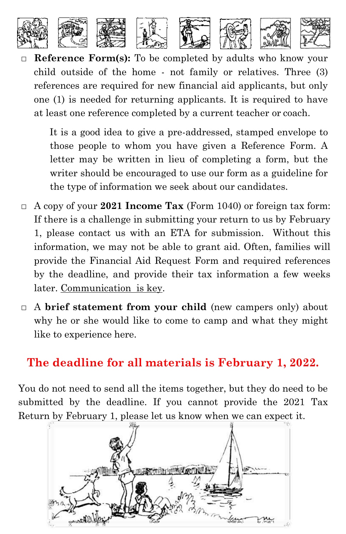

**□ Reference Form(s):** To be completed by adults who know your child outside of the home - not family or relatives. Three (3) references are required for new financial aid applicants, but only one (1) is needed for returning applicants. It is required to have at least one reference completed by a current teacher or coach.

It is a good idea to give a pre-addressed, stamped envelope to those people to whom you have given a Reference Form. A letter may be written in lieu of completing a form, but the writer should be encouraged to use our form as a guideline for the type of information we seek about our candidates.

- **□** A copy of your **2021 Income Tax** (Form 1040) or foreign tax form: If there is a challenge in submitting your return to us by February 1, please contact us with an ETA for submission. Without this information, we may not be able to grant aid. Often, families will provide the Financial Aid Request Form and required references by the deadline, and provide their tax information a few weeks later. Communication is key.
- **□** A **brief statement from your child** (new campers only) about why he or she would like to come to camp and what they might like to experience here.

## **The deadline for all materials is February 1, 2022.**

You do not need to send all the items together, but they do need to be submitted by the deadline. If you cannot provide the 2021 Tax Return by February 1, please let us know when we can expect it.